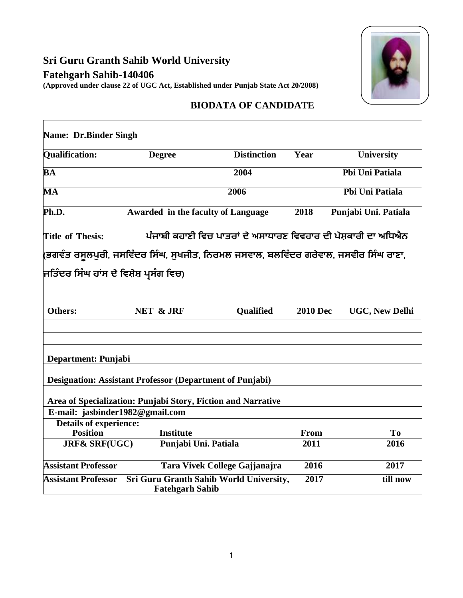## **Sri Guru Granth Sahib World University Fatehgarh Sahib-140406 (Approved under clause 22 of UGC Act, Established under Punjab State Act 20/2008)**

 $\Gamma$ 



٦

## **BIODATA OF CANDIDATE**

| Name: Dr.Binder Singh                                                                     |                                                                                      |                               |                 |                       |
|-------------------------------------------------------------------------------------------|--------------------------------------------------------------------------------------|-------------------------------|-----------------|-----------------------|
| <b>Qualification:</b>                                                                     | <b>Degree</b>                                                                        | <b>Distinction</b>            | Year            | <b>University</b>     |
| $\mathbf{\bar{B}}\mathbf{A}$                                                              |                                                                                      | 2004                          |                 | Pbi Uni Patiala       |
| MA                                                                                        | 2006                                                                                 |                               |                 | Pbi Uni Patiala       |
| Ph.D.                                                                                     | <b>Awarded in the faculty of Language</b>                                            |                               | 2018            | Punjabi Uni. Patiala  |
| ਪੰਜਾਬੀ ਕਹਾਣੀ ਵਿਚ ਪਾਤਰਾਂ ਦੇ ਅਸਾਧਾਰਣ ਵਿਵਹਾਰ ਦੀ ਪੇਸ਼ਕਾਰੀ ਦਾ ਅਧਿਐਨ<br><b>Title of Thesis:</b> |                                                                                      |                               |                 |                       |
|                                                                                           | (ਭਗਵੰਤ ਰਸੂਲਪੁਰੀ, ਜਸਵਿੰਦਰ ਸਿੰਘ, ਸੁਖਜੀਤ, ਨਿਰਮਲ ਜਸਵਾਲ, ਬਲਵਿੰਦਰ ਗਰੇਵਾਲ, ਜਸਵੀਰ ਸਿੰਘ ਰਾਣਾ, |                               |                 |                       |
| ਜਿਤਿੰਦਰ ਸਿੰਘ ਹਾਂਸ ਦੇ ਵਿਸ਼ੇਸ਼ ਪ੍ਰਸੰਗ ਵਿਚ)                                                  |                                                                                      |                               |                 |                       |
|                                                                                           |                                                                                      |                               |                 |                       |
| Others:                                                                                   | <b>NET &amp; JRF</b>                                                                 | <b>Qualified</b>              | <b>2010 Dec</b> | <b>UGC, New Delhi</b> |
|                                                                                           |                                                                                      |                               |                 |                       |
|                                                                                           |                                                                                      |                               |                 |                       |
| Department: Punjabi                                                                       |                                                                                      |                               |                 |                       |
|                                                                                           | <b>Designation: Assistant Professor (Department of Punjabi)</b>                      |                               |                 |                       |
| Area of Specialization: Punjabi Story, Fiction and Narrative                              |                                                                                      |                               |                 |                       |
| E-mail: jasbinder1982@gmail.com                                                           |                                                                                      |                               |                 |                       |
| <b>Details of experience:</b>                                                             |                                                                                      |                               |                 |                       |
| <b>Position</b>                                                                           | <b>Institute</b>                                                                     |                               | From            | To                    |
| <b>JRF&amp; SRF(UGC)</b>                                                                  | Punjabi Uni. Patiala                                                                 |                               | 2011            | 2016                  |
| <b>Assistant Professor</b>                                                                |                                                                                      | Tara Vivek College Gajjanajra | 2016            | 2017                  |
| <b>Assistant Professor</b>                                                                | Sri Guru Granth Sahib World University,<br><b>Fatehgarh Sahib</b>                    |                               | 2017            | till now              |